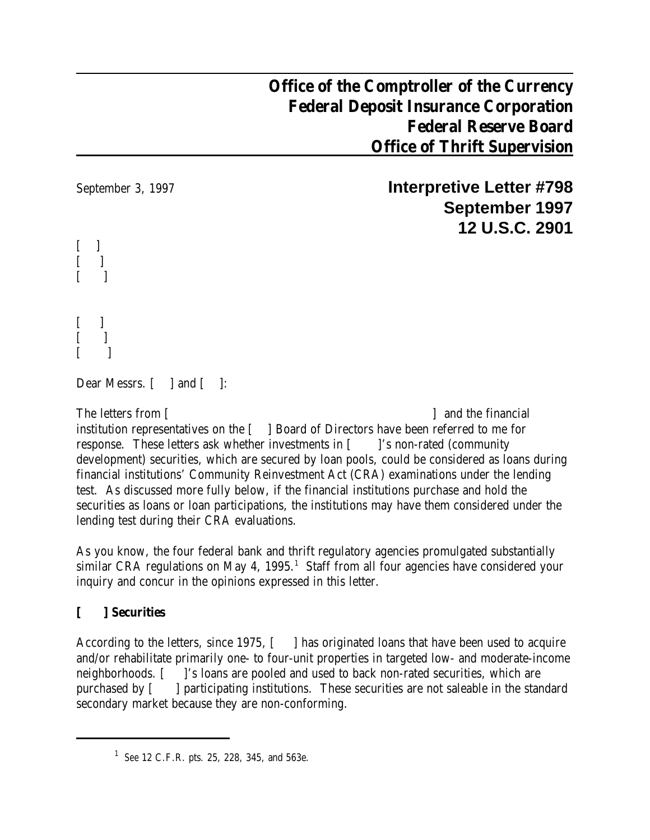**Office of the Comptroller of the Currency Federal Deposit Insurance Corporation Federal Reserve Board Office of Thrift Supervision**

September 3, 1997 **Interpretive Letter #798 September 1997 12 U.S.C. 2901**

```
\mathbf{l}\mathbf{I}\lceil \lceil\overline{\phantom{a}}
```
 $\Box$  $\Box$ 

Dear Messrs. [ ] and [ ]:

The letters from [ ] and the financial institution representatives on the [ ] Board of Directors have been referred to me for response. These letters ask whether investments in [ ]'s non-rated (community development) securities, which are secured by loan pools, could be considered as loans during financial institutions' Community Reinvestment Act (CRA) examinations under the lending test. As discussed more fully below, if the financial institutions purchase and hold the securities as loans or loan participations, the institutions may have them considered under the lending test during their CRA evaluations.

As you know, the four federal bank and thrift regulatory agencies promulgated substantially similar CRA regulations on May 4,  $1995<sup>1</sup>$  Staff from all four agencies have considered your inquiry and concur in the opinions expressed in this letter.

## **[ ] Securities**

According to the letters, since 1975, [ ] has originated loans that have been used to acquire and/or rehabilitate primarily one- to four-unit properties in targeted low- and moderate-income neighborhoods. [ ]'s loans are pooled and used to back non-rated securities, which are purchased by [ ] participating institutions. These securities are not saleable in the standard secondary market because they are non-conforming.

<sup>&</sup>lt;sup>1</sup> See 12 C.F.R. pts. 25, 228, 345, and 563e.